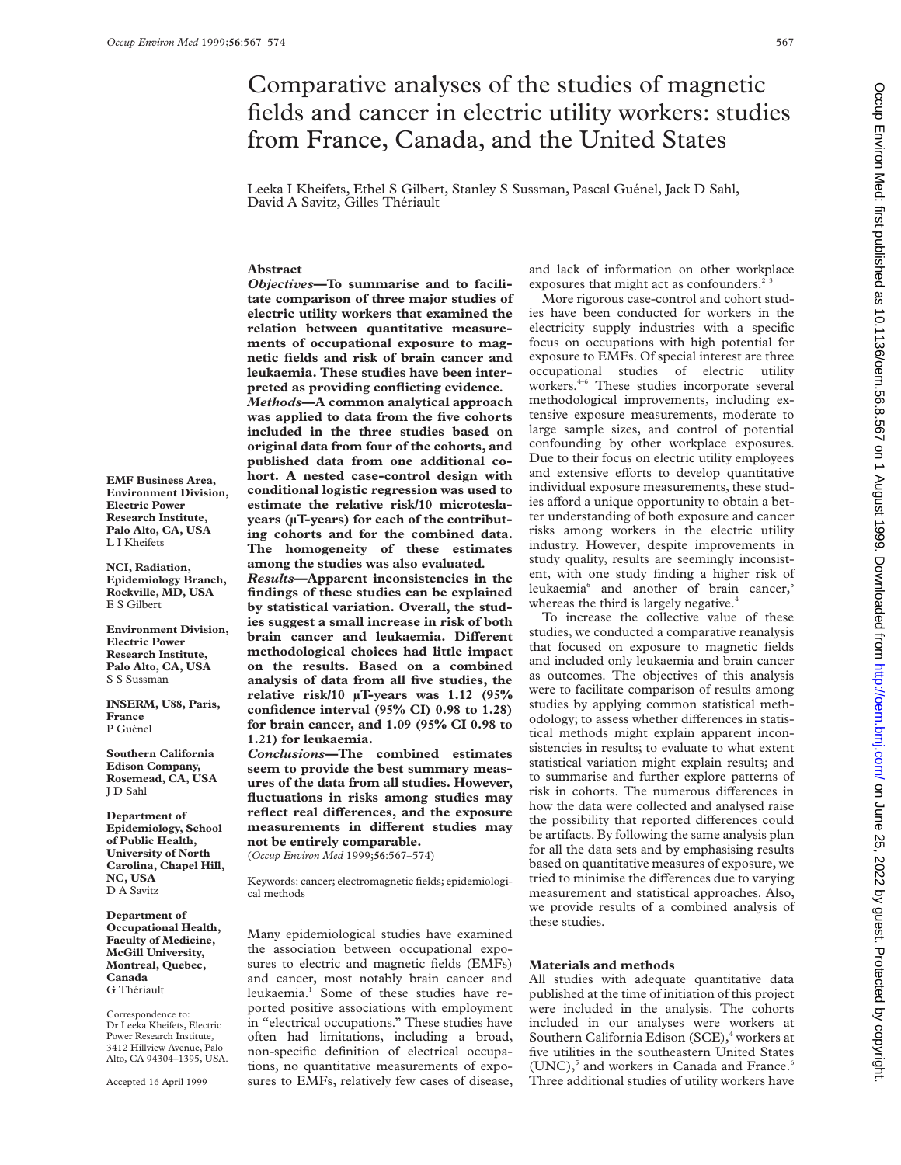# Comparative analyses of the studies of magnetic fields and cancer in electric utility workers: studies from France, Canada, and the United States

Leeka I Kheifets, Ethel S Gilbert, Stanley S Sussman, Pascal Guénel, Jack D Sahl, David A Savitz, Gilles Thériault

### **Abstract**

*Objectives***—To summarise and to facilitate comparison of three major studies of electric utility workers that examined the relation between quantitative measurements of occupational exposure to magnetic fields and risk of brain cancer and leukaemia. These studies have been interpreted as providing conflicting evidence***. Methods***—A common analytical approach was applied to data from the five cohorts included in the three studies based on original data from four of the cohorts, and published data from one additional cohort. A nested case-control design with conditional logistic regression was used to estimate the relative risk/10 microteslayears (µT-years) for each of the contributing cohorts and for the combined data. The homogeneity of these estimates among the studies was also evaluated***.*

*Results***—Apparent inconsistencies in the findings of these studies can be explained by statistical variation. Overall, the studies suggest a small increase in risk of both brain** cancer and leukaemia. Different **methodological choices had little impact on the results. Based on a combined analysis of data from all five studies, the relative risk/10 µT-years was 1.12 (95% confidence interval (95% CI) 0.98 to 1.28) for brain cancer, and 1.09 (95% CI 0.98 to 1.21) for leukaemia.**

*Conclusions***—The combined estimates seem to provide the best summary measures of the data from all studies. However, fluctuations in risks among studies may** reflect real differences, and the exposure measurements in different studies may **not be entirely comparable.**

(*Occup Environ Med* 1999;**56**:567–574)

Keywords: cancer; electromagnetic fields; epidemiological methods

Many epidemiological studies have examined the association between occupational exposures to electric and magnetic fields (EMFs) and cancer, most notably brain cancer and leukaemia.1 Some of these studies have reported positive associations with employment in "electrical occupations." These studies have often had limitations, including a broad, non-specific definition of electrical occupations, no quantitative measurements of exposures to EMFs, relatively few cases of disease,

and lack of information on other workplace exposures that might act as confounders.<sup>2</sup>

More rigorous case-control and cohort studies have been conducted for workers in the electricity supply industries with a specific focus on occupations with high potential for exposure to EMFs. Of special interest are three occupational studies of electric utility workers.<sup>4-6</sup> These studies incorporate several methodological improvements, including extensive exposure measurements, moderate to large sample sizes, and control of potential confounding by other workplace exposures. Due to their focus on electric utility employees and extensive efforts to develop quantitative individual exposure measurements, these studies afford a unique opportunity to obtain a better understanding of both exposure and cancer risks among workers in the electric utility industry. However, despite improvements in study quality, results are seemingly inconsistent, with one study finding a higher risk of leukaemia<sup>6</sup> and another of brain cancer,<sup>5</sup> whereas the third is largely negative.<sup>4</sup>

To increase the collective value of these studies, we conducted a comparative reanalysis that focused on exposure to magnetic fields and included only leukaemia and brain cancer as outcomes. The objectives of this analysis were to facilitate comparison of results among studies by applying common statistical methodology; to assess whether differences in statistical methods might explain apparent inconsistencies in results; to evaluate to what extent statistical variation might explain results; and to summarise and further explore patterns of risk in cohorts. The numerous differences in how the data were collected and analysed raise the possibility that reported differences could be artifacts. By following the same analysis plan for all the data sets and by emphasising results based on quantitative measures of exposure, we tried to minimise the differences due to varying measurement and statistical approaches. Also, we provide results of a combined analysis of these studies.

#### **Materials and methods**

All studies with adequate quantitative data published at the time of initiation of this project were included in the analysis. The cohorts included in our analyses were workers at Southern California Edison (SCE),<sup>4</sup> workers at five utilities in the southeastern United States  $(UNC)$ ,<sup>5</sup> and workers in Canada and France.<sup>6</sup> Three additional studies of utility workers have

**EMF Business Area, Environment Division, Electric Power Research Institute, Palo Alto, CA, USA** L I Kheifets

**NCI, Radiation, Epidemiology Branch, Rockville, MD, USA** E S Gilbert

**Environment Division, Electric Power Research Institute, Palo Alto, CA, USA** S S Sussman

**INSERM, U88, Paris, France** P Guénel

**Southern California Edison Company, Rosemead, CA, USA** J D Sahl

**Department of Epidemiology, School of Public Health, University of North Carolina, Chapel Hill, NC, USA** D A Savitz

**Department of Occupational Health, Faculty of Medicine, McGill University, Montreal, Quebec, Canada** G Thériault

Correspondence to: Dr Leeka Kheifets, Electric Power Research Institute, 3412 Hillview Avenue, Palo Alto, CA 94304–1395, USA.

Accepted 16 April 1999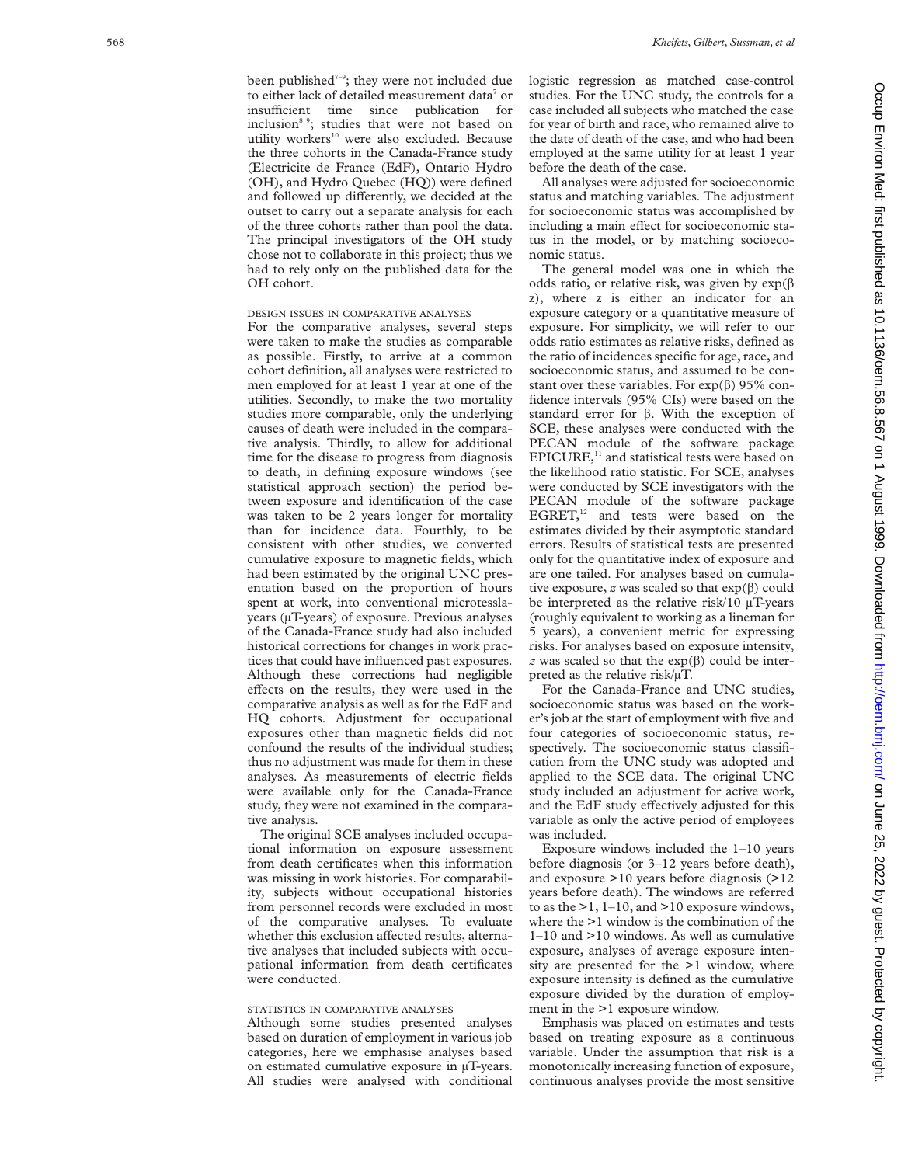been published<sup>7-9</sup>; they were not included due to either lack of detailed measurement data<sup>7</sup> or insufficient time since publication for inclusion<sup>8 9</sup>; studies that were not based on utility workers<sup>10</sup> were also excluded. Because the three cohorts in the Canada-France study (Electricite de France (EdF), Ontario Hydro (OH), and Hydro Quebec (HQ)) were defined and followed up differently, we decided at the outset to carry out a separate analysis for each of the three cohorts rather than pool the data. The principal investigators of the OH study chose not to collaborate in this project; thus we had to rely only on the published data for the OH cohort.

### DESIGN ISSUES IN COMPARATIVE ANALYSES

For the comparative analyses, several steps were taken to make the studies as comparable as possible. Firstly, to arrive at a common cohort definition, all analyses were restricted to men employed for at least 1 year at one of the utilities. Secondly, to make the two mortality studies more comparable, only the underlying causes of death were included in the comparative analysis. Thirdly, to allow for additional time for the disease to progress from diagnosis to death, in defining exposure windows (see statistical approach section) the period between exposure and identification of the case was taken to be 2 years longer for mortality than for incidence data. Fourthly, to be consistent with other studies, we converted cumulative exposure to magnetic fields, which had been estimated by the original UNC presentation based on the proportion of hours spent at work, into conventional microtesslayears (µT-years) of exposure. Previous analyses of the Canada-France study had also included historical corrections for changes in work practices that could have influenced past exposures. Although these corrections had negligible effects on the results, they were used in the comparative analysis as well as for the EdF and HQ cohorts. Adjustment for occupational exposures other than magnetic fields did not confound the results of the individual studies; thus no adjustment was made for them in these analyses. As measurements of electric fields were available only for the Canada-France study, they were not examined in the comparative analysis.

The original SCE analyses included occupational information on exposure assessment from death certificates when this information was missing in work histories. For comparability, subjects without occupational histories from personnel records were excluded in most of the comparative analyses. To evaluate whether this exclusion affected results, alternative analyses that included subjects with occupational information from death certificates were conducted.

#### STATISTICS IN COMPARATIVE ANALYSES

Although some studies presented analyses based on duration of employment in various job categories, here we emphasise analyses based on estimated cumulative exposure in µT-years. All studies were analysed with conditional logistic regression as matched case-control studies. For the UNC study, the controls for a case included all subjects who matched the case for year of birth and race, who remained alive to the date of death of the case, and who had been employed at the same utility for at least 1 year before the death of the case.

All analyses were adjusted for socioeconomic status and matching variables. The adjustment for socioeconomic status was accomplished by including a main effect for socioeconomic status in the model, or by matching socioeconomic status.

The general model was one in which the odds ratio, or relative risk, was given by exp( â z), where z is either an indicator for an exposure category or a quantitative measure of exposure. For simplicity, we will refer to our odds ratio estimates as relative risks, defined as the ratio of incidences specific for age, race, and socioeconomic status, and assumed to be constant over these variables. For  $exp(β)$  95% confidence intervals (95% CIs) were based on the standard error for  $\beta$ . With the exception of SCE, these analyses were conducted with the PECAN module of the software package EPICURE,<sup>11</sup> and statistical tests were based on the likelihood ratio statistic. For SCE, analyses were conducted by SCE investigators with the PECAN module of the software package EGRET,<sup>12</sup> and tests were based on the estimates divided by their asymptotic standard errors. Results of statistical tests are presented only for the quantitative index of exposure and are one tailed. For analyses based on cumulative exposure,  $z$  was scaled so that  $exp(\beta)$  could be interpreted as the relative risk/10 uT-vears (roughly equivalent to working as a lineman for 5 years), a convenient metric for expressing risks. For analyses based on exposure intensity,  $z$  was scaled so that the  $exp(\beta)$  could be interpreted as the relative risk/µT.

For the Canada-France and UNC studies, socioeconomic status was based on the worker's job at the start of employment with five and four categories of socioeconomic status, respectively. The socioeconomic status classification from the UNC study was adopted and applied to the SCE data. The original UNC study included an adjustment for active work, and the EdF study effectively adjusted for this variable as only the active period of employees was included.

Exposure windows included the 1–10 years before diagnosis (or 3–12 years before death), and exposure >10 years before diagnosis (>12 years before death). The windows are referred to as the  $>1$ ,  $1-10$ , and  $>10$  exposure windows, where the >1 window is the combination of the 1–10 and >10 windows. As well as cumulative exposure, analyses of average exposure intensity are presented for the >1 window, where exposure intensity is defined as the cumulative exposure divided by the duration of employment in the >1 exposure window.

Emphasis was placed on estimates and tests based on treating exposure as a continuous variable. Under the assumption that risk is a monotonically increasing function of exposure, continuous analyses provide the most sensitive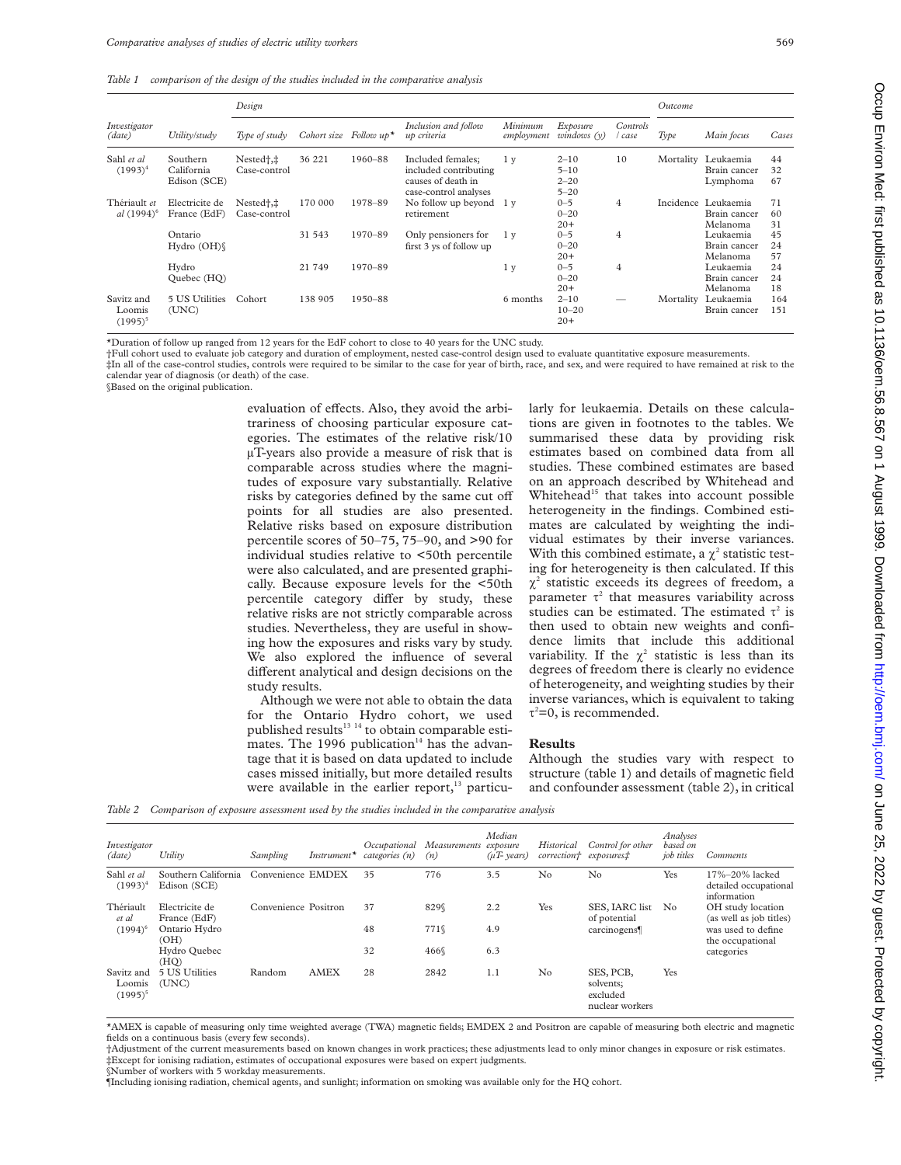*Table 1 comparison of the design of the studies included in the comparative analysis*

|                                          |                                                                                                                | Design                    |                                        | Outcome                   |                                                                                           |                       |                                              |                  |           |                                                 |                |
|------------------------------------------|----------------------------------------------------------------------------------------------------------------|---------------------------|----------------------------------------|---------------------------|-------------------------------------------------------------------------------------------|-----------------------|----------------------------------------------|------------------|-----------|-------------------------------------------------|----------------|
| Investigator<br>(date)                   | Utility/study                                                                                                  | Type of study             |                                        | Cohort size Follow $up^*$ | Inclusion and follow<br>up criteria                                                       | Minimum<br>employment | Exposure<br>windows(y)                       | Controls<br>case | Type      | Main focus                                      | Cases          |
| Sahl et al<br>$(1993)^4$                 | Southern<br>California<br>Edison (SCE)                                                                         | Nested†,‡<br>Case-control | 36 221                                 | 1960-88                   | Included females;<br>included contributing<br>causes of death in<br>case-control analyses | 1 <sub>v</sub>        | $2 - 10$<br>$5 - 10$<br>$2 - 20$<br>$5 - 20$ | 10               |           | Mortality Leukaemia<br>Brain cancer<br>Lymphoma | 44<br>32<br>67 |
| Thériault et<br>al $(1994)$ <sup>6</sup> | Electricite de<br>Nested†,‡<br>France (EdF)<br>Case-control<br>Ontario<br>Hydro $(OH)$<br>Hydro<br>Quebec (HQ) |                           | 170 000                                | 1978-89                   | No follow up beyond<br>retirement                                                         | 1 <sub>v</sub>        | $0 - 5$<br>$0 - 20$<br>$20+$                 | 4                |           | Incidence Leukaemia<br>Brain cancer<br>Melanoma | 71<br>60<br>31 |
|                                          |                                                                                                                |                           | 31 543<br>1970-89<br>21 749<br>1970-89 |                           | Only pensioners for<br>first 3 ys of follow up                                            | 1 <sub>v</sub>        | $0 - 5$<br>$0 - 20$<br>$20+$                 | 4                |           | Leukaemia<br>Brain cancer<br>Melanoma           | 45<br>24<br>57 |
|                                          |                                                                                                                |                           |                                        |                           |                                                                                           | 1 y                   | $0 - 5$<br>$0 - 20$<br>$20+$                 | 4                |           | Leukaemia<br>Brain cancer<br>Melanoma           | 24<br>24<br>18 |
| Savitz and<br>Loomis<br>$(1995)^5$       | 5 US Utilities<br>(UNC)                                                                                        | Cohort                    | 138 905                                | 1950-88                   |                                                                                           | 6 months              | $2 - 10$<br>$10 - 20$<br>$20+$               |                  | Mortality | Leukaemia<br>Brain cancer                       | 164<br>151     |

\*Duration of follow up ranged from 12 years for the EdF cohort to close to 40 years for the UNC study.

†Full cohort used to evaluate job category and duration of employment, nested case-control design used to evaluate quantitative exposure measurements.

‡In all of the case-control studies, controls were required to be similar to the case for year of birth, race, and sex, and were required to have remained at risk to the calendar year of diagnosis (or death) of the case.

§Based on the original publication.

evaluation of effects. Also, they avoid the arbitrariness of choosing particular exposure categories. The estimates of the relative risk/10 µT-years also provide a measure of risk that is comparable across studies where the magnitudes of exposure vary substantially. Relative risks by categories defined by the same cut off points for all studies are also presented. Relative risks based on exposure distribution percentile scores of 50–75, 75–90, and >90 for individual studies relative to <50th percentile were also calculated, and are presented graphically. Because exposure levels for the <50th percentile category differ by study, these relative risks are not strictly comparable across studies. Nevertheless, they are useful in showing how the exposures and risks vary by study. We also explored the influence of several different analytical and design decisions on the study results.

Although we were not able to obtain the data for the Ontario Hydro cohort, we used published results<sup>13</sup> <sup>14</sup> to obtain comparable estimates. The 1996 publication $14$  has the advantage that it is based on data updated to include cases missed initially, but more detailed results were available in the earlier report, $13$  particularly for leukaemia. Details on these calculations are given in footnotes to the tables. We summarised these data by providing risk estimates based on combined data from all studies. These combined estimates are based on an approach described by Whitehead and Whitehead<sup>15</sup> that takes into account possible heterogeneity in the findings. Combined estimates are calculated by weighting the individual estimates by their inverse variances. With this combined estimate, a  $\chi^2$  statistic testing for heterogeneity is then calculated. If this  $\chi^2$  statistic exceeds its degrees of freedom, a parameter  $\tau^2$  that measures variability across studies can be estimated. The estimated  $\tau^2$  is then used to obtain new weights and confidence limits that include this additional variability. If the  $\chi^2$  statistic is less than its degrees of freedom there is clearly no evidence of heterogeneity, and weighting studies by their inverse variances, which is equivalent to taking  $\tau^2$ =0, is recommended.

#### **Results**

Although the studies vary with respect to structure (table 1) and details of magnetic field and confounder assessment (table 2), in critical

*Table 2 Comparison of exposure assessment used by the studies included in the comparative analysis*

| Investigator<br>(date)              | Utility                             | Sampling             | $Instrument^*$ | Occupational<br>categories (n) | Measurements<br>(n) | Median<br>exposure<br>$(\mu T\text{-} \text{years})$ | Historical     | Control for other<br>$correction$ exposures $\ddagger$ | Analyses<br>based on<br>job titles | <b>Comments</b>                                        |
|-------------------------------------|-------------------------------------|----------------------|----------------|--------------------------------|---------------------|------------------------------------------------------|----------------|--------------------------------------------------------|------------------------------------|--------------------------------------------------------|
| Sahl et al<br>$(1993)^4$            | Southern California<br>Edison (SCE) | Convenience EMDEX    |                | 35                             | 776                 | 3.5                                                  | No             | No                                                     | Yes                                | 17%-20% lacked<br>detailed occupational<br>information |
| Thériault<br>et al                  | Electricite de<br>France (EdF)      | Convenience Positron |                | 37                             | 8290                | 2.2                                                  | Yes            | SES, IARC list<br>of potential                         | No                                 | OH study location<br>(as well as job titles)           |
| $(1994)^6$<br>Ontario Hydro<br>(OH) |                                     |                      |                | 48                             | 7716                | 4.9                                                  |                | carcinogens                                            |                                    | was used to define<br>the occupational                 |
|                                     | Hydro Quebec<br>(HQ)                |                      |                | 32                             | 466                 | 6.3                                                  |                |                                                        |                                    | categories                                             |
| Savitz and<br>Loomis<br>$(1995)^5$  | 5 US Utilities<br>(UNC)             | Random               | <b>AMEX</b>    | 28                             | 2842                | 1.1                                                  | N <sub>0</sub> | SES, PCB,<br>solvents:<br>excluded<br>nuclear workers  | Yes                                |                                                        |

\*AMEX is capable of measuring only time weighted average (TWA) magnetic fields; EMDEX 2 and Positron are capable of measuring both electric and magnetic fields on a continuous basis (every few seconds).

†Adjustment of the current measurements based on known changes in work practices; these adjustments lead to only minor changes in exposure or risk estimates. ‡Except for ionising radiation, estimates of occupational exposures were based on expert judgments.

§Number of workers with 5 workday measurements.

¶Including ionising radiation, chemical agents, and sunlight; information on smoking was available only for the HQ cohort.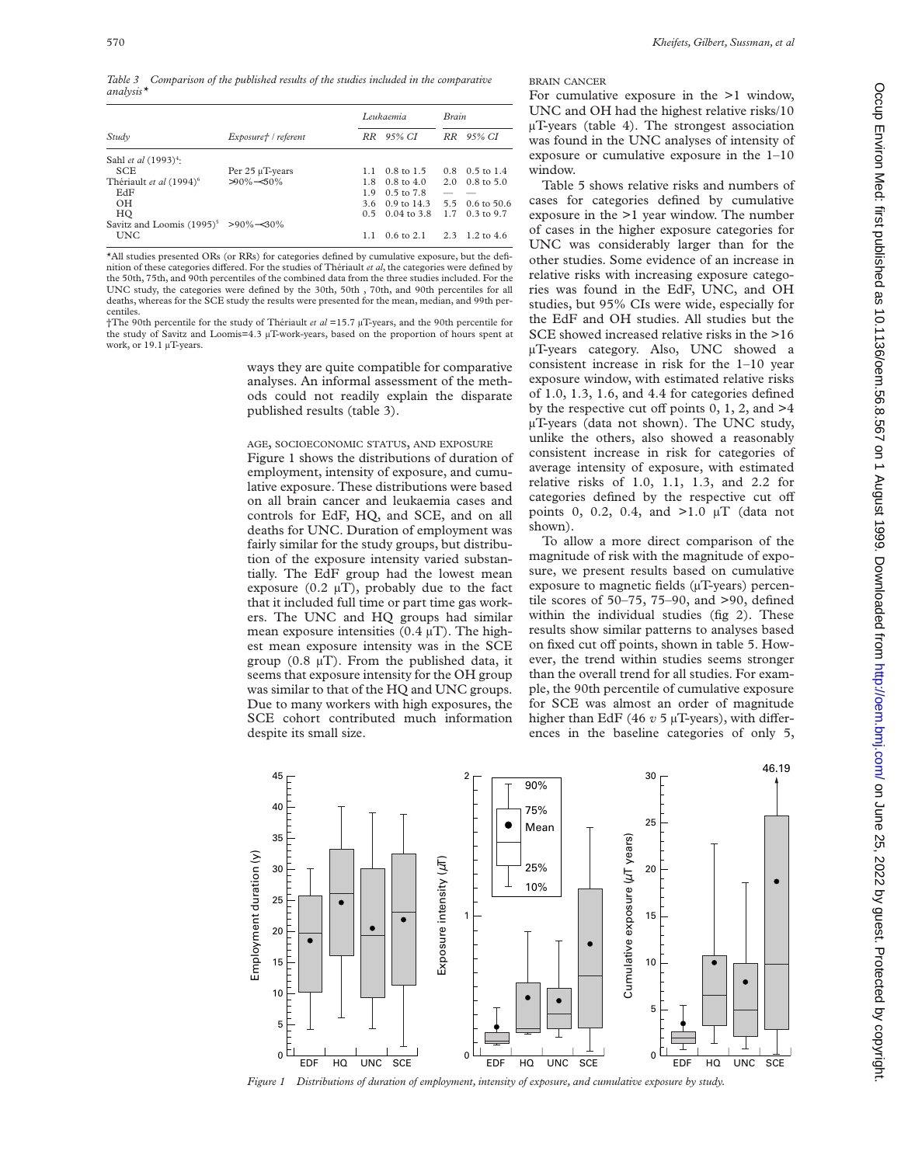*Table 3 Comparison of the published results of the studies included in the comparative analysis\**

|                                        |                      |     | Leukaemia              | <b>Brain</b> |                                  |  |
|----------------------------------------|----------------------|-----|------------------------|--------------|----------------------------------|--|
| Study                                  | Exposure† / referent | RR. | 95% CI                 |              | RR 95% CI                        |  |
| Sahl et al $(1993)^4$ :                |                      |     |                        |              |                                  |  |
| <b>SCE</b>                             | Per 25 µT-years      | 11  | $0.8 \text{ to } 1.5$  |              | $0.8$ $0.5$ to 1.4               |  |
| Thériault et al (1994) <sup>6</sup>    | $>90\% - 50\%$       | 18  | $0.8 \text{ to } 4.0$  |              | $2.0 \quad 0.8 \text{ to } 5.0$  |  |
| EdF                                    |                      | 19  | $0.5 \text{ to } 7.8$  |              |                                  |  |
| O <sub>H</sub>                         |                      | 36  | $0.9 \text{ to } 14.3$ |              | $5.5 \quad 0.6 \text{ to } 50.6$ |  |
| HQ                                     |                      |     | $0.5$ 0.04 to 3.8      |              | $1.7 \quad 0.3$ to $9.7$         |  |
| Savitz and Loomis $(1995)^5$ >90%-<30% |                      |     |                        |              |                                  |  |
| UNC.                                   |                      | 11  | $0.6 \text{ to } 2.1$  |              | $2.3$ 1.2 to 4.6                 |  |

\*All studies presented ORs (or RRs) for categories defined by cumulative exposure, but the definition of these categories differed. For the studies of Thériault *et al*, the categories were defined by the 50th, 75th, and 90th percentiles of the combined data from the three studies included. For the UNC study, the categories were defined by the 30th, 50th , 70th, and 90th percentiles for all deaths, whereas for the SCE study the results were presented for the mean, median, and 99th percentiles

†The 90th percentile for the study of Thériault *et al* =15.7 µT-years, and the 90th percentile for the study of Savitz and Loomis=4.3 µT-work-years, based on the proportion of hours spent at work, or 19.1 µT-years.

> ways they are quite compatible for comparative analyses. An informal assessment of the methods could not readily explain the disparate published results (table 3).

## AGE, SOCIOECONOMIC STATUS, AND EXPOSURE

Figure 1 shows the distributions of duration of employment, intensity of exposure, and cumulative exposure. These distributions were based on all brain cancer and leukaemia cases and controls for EdF, HQ, and SCE, and on all deaths for UNC. Duration of employment was fairly similar for the study groups, but distribution of the exposure intensity varied substantially. The EdF group had the lowest mean exposure (0.2  $\mu$ T), probably due to the fact that it included full time or part time gas workers. The UNC and HQ groups had similar mean exposure intensities  $(0.4 \mu T)$ . The highest mean exposure intensity was in the SCE group (0.8  $\mu$ T). From the published data, it seems that exposure intensity for the OH group was similar to that of the HQ and UNC groups. Due to many workers with high exposures, the SCE cohort contributed much information despite its small size.

BRAIN CANCER

For cumulative exposure in the >1 window, UNC and OH had the highest relative risks/10 µT-years (table 4). The strongest association was found in the UNC analyses of intensity of exposure or cumulative exposure in the 1–10 window.

Table 5 shows relative risks and numbers of cases for categories defined by cumulative exposure in the >1 year window. The number of cases in the higher exposure categories for UNC was considerably larger than for the other studies. Some evidence of an increase in relative risks with increasing exposure categories was found in the EdF, UNC, and OH studies, but 95% CIs were wide, especially for the EdF and OH studies. All studies but the SCE showed increased relative risks in the >16 µT-years category. Also, UNC showed a consistent increase in risk for the 1–10 year exposure window, with estimated relative risks of 1.0, 1.3, 1.6, and 4.4 for categories defined by the respective cut off points  $0, 1, 2$ , and  $>4$ µT-years (data not shown). The UNC study, unlike the others, also showed a reasonably consistent increase in risk for categories of average intensity of exposure, with estimated relative risks of 1.0, 1.1, 1.3, and 2.2 for categories defined by the respective cut off points 0, 0.2, 0.4, and  $>1.0 \mu T$  (data not shown).

To allow a more direct comparison of the magnitude of risk with the magnitude of exposure, we present results based on cumulative exposure to magnetic fields ( $\mu$ T-years) percentile scores of 50–75, 75–90, and >90, defined within the individual studies (fig 2). These results show similar patterns to analyses based on fixed cut off points, shown in table 5. However, the trend within studies seems stronger than the overall trend for all studies. For example, the 90th percentile of cumulative exposure for SCE was almost an order of magnitude higher than EdF (46  $v$  5  $\mu$ T-years), with differences in the baseline categories of only 5,



*Figure 1 Distributions of duration of employment, intensity of exposure, and cumulative exposure by study.*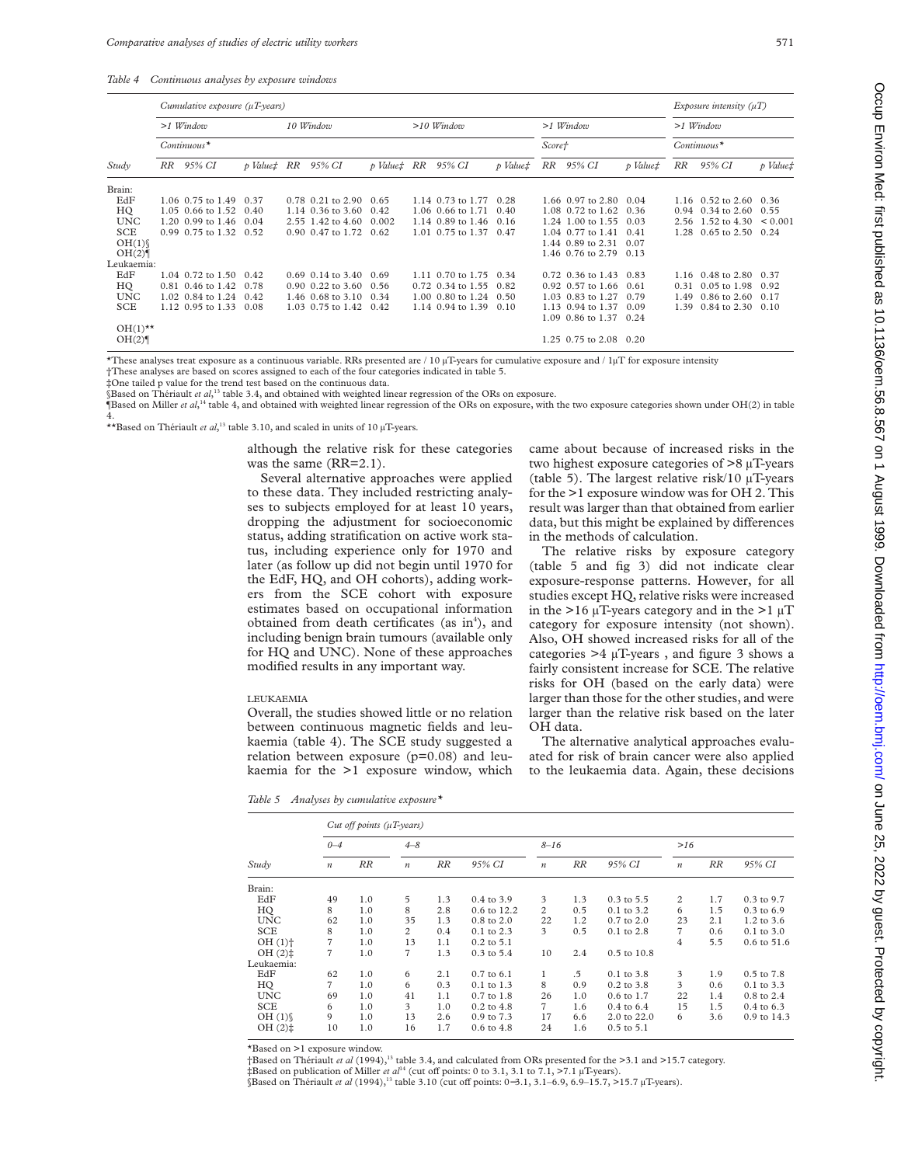#### *Table 4 Continuous analyses by exposure windows*

|                       |                         | Cumulative exposure (µT-years) | Exposure intensity $(\mu T)$ |  |                        |             |  |                          |          |    |                     |          |             |                        |          |  |
|-----------------------|-------------------------|--------------------------------|------------------------------|--|------------------------|-------------|--|--------------------------|----------|----|---------------------|----------|-------------|------------------------|----------|--|
| Study                 | $>1$ Window             |                                |                              |  | 10 Window              |             |  | $>10$ Window             |          |    | $>1$ Window         |          | $>1$ Window |                        |          |  |
|                       | $Continuous*$<br>Score† |                                |                              |  |                        |             |  |                          |          |    | $Continuous*$       |          |             |                        |          |  |
|                       | RR                      | 95% CI                         | $p$ Value $\neq$ RR 95% CI   |  |                        | p Value‡ RR |  | 95% CI                   | p Value‡ | RR | 95% CI              | p Value‡ | RR          | 95% CI                 | p Value‡ |  |
| Brain:                |                         |                                |                              |  |                        |             |  |                          |          |    |                     |          |             |                        |          |  |
| EdF                   |                         | 1.06 0.75 to 1.49              | 0.37                         |  | $0.78$ 0.21 to 2.90    | 0.65        |  | 1.14 0.73 to 1.77        | 0.28     |    | 1.66 0.97 to $2.80$ | 0.04     |             | 1.16 0.52 to 2.60 0.36 |          |  |
| HQ                    |                         | 1.05 0.66 to 1.52              | 0.40                         |  | 1.14 0.36 to 3.60      | 0.42        |  | 1.06 0.66 to 1.71        | 0.40     |    | 1.08 0.72 to 1.62   | 0.36     |             | 0.94 0.34 to 2.60 0.55 |          |  |
| <b>UNC</b>            |                         | 1.20 0.99 to 1.46              | 0.04                         |  | 2.55 1.42 to 4.60      | 0.002       |  | 1.14 0.89 to 1.46        | 0.16     |    | 1.24 1.00 to 1.55   | 0.03     |             | 2.56 1.52 to 4.30      | < 0.001  |  |
| <b>SCE</b>            |                         | $0.99$ 0.75 to 1.32            | 0.52                         |  | 0.90 0.47 to 1.72      | 0.62        |  | 1.01 0.75 to 1.37        | 0.47     |    | 1.04 0.77 to 1.41   | 0.41     |             | $1.28$ 0.65 to 2.50    | 0.24     |  |
| OH(1)                 |                         |                                |                              |  |                        |             |  |                          |          |    | 1.44 0.89 to 2.31   | 0.07     |             |                        |          |  |
| OH(2)                 |                         |                                |                              |  |                        |             |  |                          |          |    | 1.46 0.76 to 2.79   | 0.13     |             |                        |          |  |
| Leukaemia:            |                         |                                |                              |  |                        |             |  |                          |          |    |                     |          |             |                        |          |  |
| EdF                   |                         | 1.04 0.72 to 1.50              | 0.42                         |  | $0.69$ 0.14 to 3.40    | 0.69        |  | 1.11 0.70 to 1.75        | 0.34     |    | $0.72$ 0.36 to 1.43 | 0.83     |             | 1.16 0.48 to 2.80 0.37 |          |  |
| HQ                    |                         | $0.81$ 0.46 to 1.42            | 0.78                         |  | $0.90 \, 0.22$ to 3.60 | 0.56        |  | $0.72$ 0.34 to 1.55      | 0.82     |    | $0.92$ 0.57 to 1.66 | 0.61     | 0.31        | $0.05$ to $1.98$       | 0.92     |  |
| <b>UNC</b>            |                         | $1.02$ 0.84 to 1.24            | 0.42                         |  | 1.46 0.68 to 3.10      | 0.34        |  | $1.00 \, 0.80$ to $1.24$ | 0.50     |    | 1.03 0.83 to 1.27   | 0.79     | 1.49        | $0.86$ to $2.60$       | 0.17     |  |
| <b>SCE</b>            |                         | 1.12 0.95 to 1.33              | 0.08                         |  | 1.03 0.75 to 1.42      | 0.42        |  | 1.14 0.94 to 1.39        | 0.10     |    | 1.13 0.94 to 1.37   | 0.09     | 1.39        | $0.84$ to 2.30 $0.10$  |          |  |
|                       |                         |                                |                              |  |                        |             |  |                          |          |    | 1.09 0.86 to 1.37   | 0.24     |             |                        |          |  |
| $OH(1)$ <sup>**</sup> |                         |                                |                              |  |                        |             |  |                          |          |    |                     |          |             |                        |          |  |
| OH(2)                 |                         |                                |                              |  |                        |             |  |                          |          |    | 1.25 0.75 to 2.08   | 0.20     |             |                        |          |  |

\*These analyses treat exposure as a continuous variable. RRs presented are / 10  $\mu$ T-years for cumulative exposure and / 1 $\mu$ T for exposure intensity

†These analyses are based on scores assigned to each of the four categories indicated in table 5.

‡One tailed p value for the trend test based on the continuous data.<br>§Based on Thériault *et al,*<sup>13</sup> table 3.4, and obtained with weighted linear regression of the ORs on exposure.

Based on Miller et al,<sup>14</sup> table 4, and obtained with weighted linear regression of the ORs on exposure, with the two exposure categories shown under OH(2) in table

4.<br>\*\*Based on Thériault *et al*,<sup>13</sup> table 3.10, and scaled in units of 10 µT-years.

although the relative risk for these categories was the same (RR=2.1).

Several alternative approaches were applied to these data. They included restricting analyses to subjects employed for at least 10 years, dropping the adjustment for socioeconomic status, adding stratification on active work status, including experience only for 1970 and later (as follow up did not begin until 1970 for the EdF, HQ, and OH cohorts), adding workers from the SCE cohort with exposure estimates based on occupational information obtained from death certificates (as in<sup>4</sup>), and including benign brain tumours (available only for HQ and UNC). None of these approaches modified results in any important way.

#### LEUKAEMIA

Overall, the studies showed little or no relation between continuous magnetic fields and leukaemia (table 4). The SCE study suggested a relation between exposure (p=0.08) and leukaemia for the >1 exposure window, which

*Table 5 Analyses by cumulative exposure\**

came about because of increased risks in the two highest exposure categories of >8 µT-years (table 5). The largest relative risk/10 µT-years for the >1 exposure window was for OH 2. This result was larger than that obtained from earlier data, but this might be explained by differences in the methods of calculation.

The relative risks by exposure category (table 5 and fig 3) did not indicate clear exposure-response patterns. However, for all studies except HQ, relative risks were increased in the  $>16 \mu T$ -vears category and in the  $>1 \mu T$ category for exposure intensity (not shown). Also, OH showed increased risks for all of the categories >4 µT-years , and figure 3 shows a fairly consistent increase for SCE. The relative risks for OH (based on the early data) were larger than those for the other studies, and were larger than the relative risk based on the later OH data.

The alternative analytical approaches evaluated for risk of brain cancer were also applied to the leukaemia data. Again, these decisions

|                      | Cut off points $(\mu T\text{-years})$ |     |                  |     |                |                  |     |                |                  |     |                        |  |  |  |  |
|----------------------|---------------------------------------|-----|------------------|-----|----------------|------------------|-----|----------------|------------------|-----|------------------------|--|--|--|--|
|                      | $0 - 4$                               |     | $4 - 8$          |     |                | $8 - 16$         |     |                | >16              |     |                        |  |  |  |  |
| Study                | $\boldsymbol{n}$                      | RR  | $\boldsymbol{n}$ | RR  | 95% CI         | $\boldsymbol{n}$ | RR  | 95% CI         | $\boldsymbol{n}$ | RR  | 95% CI                 |  |  |  |  |
| Brain:               |                                       |     |                  |     |                |                  |     |                |                  |     |                        |  |  |  |  |
| EdF                  | 49                                    | 1.0 | 5                | 1.3 | $0.4$ to 3.9   | 3                | 1.3 | $0.3$ to $5.5$ | 2                | 1.7 | $0.3$ to $9.7$         |  |  |  |  |
| HQ                   | 8                                     | 1.0 | 8                | 2.8 | 0.6 to 12.2    | 2                | 0.5 | $0.1$ to $3.2$ | 6                | 1.5 | $0.3$ to $6.9$         |  |  |  |  |
| <b>UNC</b>           | 62                                    | 1.0 | 35               | 1.3 | $0.8$ to $2.0$ | 22               | 1.2 | $0.7$ to $2.0$ | 23               | 2.1 | $1.2 \text{ to } 3.6$  |  |  |  |  |
| <b>SCE</b>           | 8                                     | 1.0 | 2                | 0.4 | $0.1$ to $2.3$ | 3                | 0.5 | $0.1$ to $2.8$ | 7                | 0.6 | $0.1$ to $3.0$         |  |  |  |  |
| $OH(1)$ <sup>+</sup> | 7                                     | 1.0 | 13               | 1.1 | $0.2$ to $5.1$ |                  |     |                | 4                | 5.5 | $0.6 \text{ to } 51.6$ |  |  |  |  |
| OH(2) <sup>†</sup>   | 7                                     | 1.0 | $\overline{7}$   | 1.3 | $0.3$ to $5.4$ | 10               | 2.4 | 0.5 to 10.8    |                  |     |                        |  |  |  |  |
| Leukaemia:           |                                       |     |                  |     |                |                  |     |                |                  |     |                        |  |  |  |  |
| EdF                  | 62                                    | 1.0 | 6                | 2.1 | $0.7$ to $6.1$ | 1                | .5  | $0.1$ to $3.8$ | 3                | 1.9 | $0.5$ to $7.8$         |  |  |  |  |
| HQ                   | 7                                     | 1.0 | 6                | 0.3 | $0.1$ to $1.3$ | 8                | 0.9 | $0.2$ to $3.8$ | 3                | 0.6 | $0.1$ to 3.3           |  |  |  |  |
| <b>UNC</b>           | 69                                    | 1.0 | 41               | 1.1 | $0.7$ to $1.8$ | 26               | 1.0 | $0.6$ to $1.7$ | 22               | 1.4 | $0.8$ to $2.4$         |  |  |  |  |
| <b>SCE</b>           | 6                                     | 1.0 | 3                | 1.0 | $0.2$ to $4.8$ | $\overline{7}$   | 1.6 | $0.4$ to $6.4$ | 15               | 1.5 | $0.4 \text{ to } 6.3$  |  |  |  |  |
| OH $(1)$             | 9                                     | 1.0 | 13               | 2.6 | 0.9 to 7.3     | 17               | 6.6 | 2.0 to 22.0    | 6                | 3.6 | 0.9 to 14.3            |  |  |  |  |
| OH (2) <sup>†</sup>  | 10                                    | 1.0 | 16               | 1.7 | $0.6$ to $4.8$ | 24               | 1.6 | $0.5$ to $5.1$ |                  |     |                        |  |  |  |  |

\*Based on >1 exposure window.

†Based on Thériault *et al* (1994),13 table 3.4, and calculated from ORs presented for the >3.1 and >15.7 category.

‡Based on publication of Miller *et al*<sup>14</sup> (cut off points: 0 to 3.1, 3.1 to 7.1, >7.1 µT-years).<br>§Based on Thériault *et al* (1994),<sup>13</sup> table 3.10 (cut off points: 0−3.1, 3.1–6.9, 6.9–15.7, >15.7 µT-years).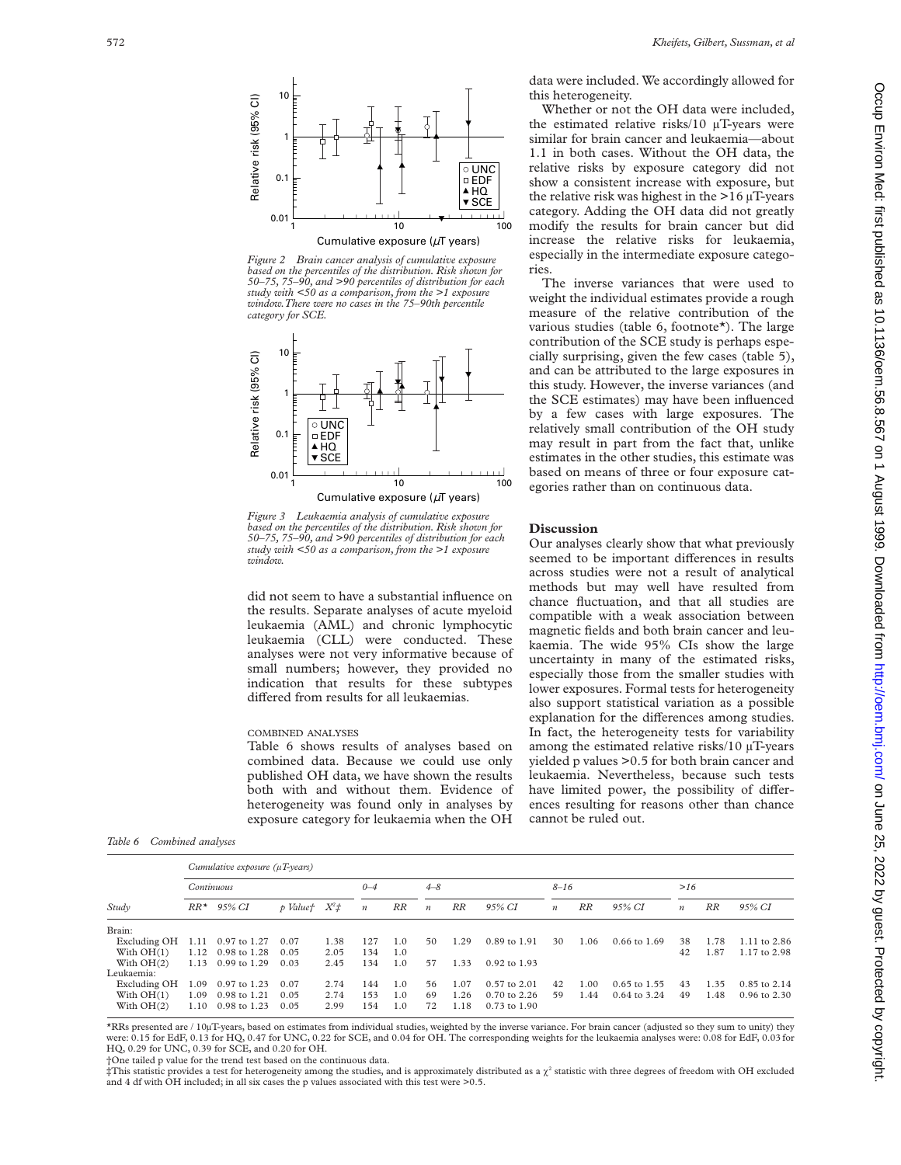

*Figure 2 Brain cancer analysis of cumulative exposure based on the percentiles of the distribution. Risk shown for 50–75, 75–90, and >90 percentiles of distribution for each study with <50 as a comparison, from the >1 exposure window.There were no cases in the 75–90th percentile category for SCE.*



Cumulative exposure ( $\mu$ T years)

*Figure 3 Leukaemia analysis of cumulative exposure based on the percentiles of the distribution. Risk shown for 50–75, 75–90, and >90 percentiles of distribution for each study with <50 as a comparison, from the >1 exposure window.*

did not seem to have a substantial influence on the results. Separate analyses of acute myeloid leukaemia (AML) and chronic lymphocytic leukaemia (CLL) were conducted. These analyses were not very informative because of small numbers; however, they provided no indication that results for these subtypes differed from results for all leukaemias.

#### COMBINED ANALYSES

Table 6 shows results of analyses based on combined data. Because we could use only published OH data, we have shown the results both with and without them. Evidence of heterogeneity was found only in analyses by exposure category for leukaemia when the OH

*Table 6 Combined analyses*

data were included. We accordingly allowed for this heterogeneity.

Whether or not the OH data were included, the estimated relative risks/10 µT-years were similar for brain cancer and leukaemia—about 1.1 in both cases. Without the OH data, the relative risks by exposure category did not show a consistent increase with exposure, but the relative risk was highest in the  $>16 \mu T$ -years category. Adding the OH data did not greatly modify the results for brain cancer but did increase the relative risks for leukaemia, especially in the intermediate exposure categories.

The inverse variances that were used to weight the individual estimates provide a rough measure of the relative contribution of the various studies (table 6, footnote\*). The large contribution of the SCE study is perhaps especially surprising, given the few cases (table 5), and can be attributed to the large exposures in this study. However, the inverse variances (and the SCE estimates) may have been influenced by a few cases with large exposures. The relatively small contribution of the OH study may result in part from the fact that, unlike estimates in the other studies, this estimate was based on means of three or four exposure categories rather than on continuous data.

#### **Discussion**

Our analyses clearly show that what previously seemed to be important differences in results across studies were not a result of analytical methods but may well have resulted from chance fluctuation, and that all studies are compatible with a weak association between magnetic fields and both brain cancer and leukaemia. The wide 95% CIs show the large uncertainty in many of the estimated risks, especially those from the smaller studies with lower exposures. Formal tests for heterogeneity also support statistical variation as a possible explanation for the differences among studies. In fact, the heterogeneity tests for variability among the estimated relative risks/10 µT-years yielded p values >0.5 for both brain cancer and leukaemia. Nevertheless, because such tests have limited power, the possibility of differences resulting for reasons other than chance cannot be ruled out.

|              |            | $Cumulative exposure (\mu T-years)$ |          |             |                  |         |                  |         |                  |                  |          |                         |                  |           |                  |  |
|--------------|------------|-------------------------------------|----------|-------------|------------------|---------|------------------|---------|------------------|------------------|----------|-------------------------|------------------|-----------|------------------|--|
|              | Continuous |                                     |          |             |                  | $0 - 4$ |                  | $4 - 8$ |                  |                  | $8 - 16$ |                         |                  | >16       |                  |  |
| Study        | $RR^*$     | 95% CI                              | p Value† | $X^2\sharp$ | $\boldsymbol{n}$ | RR      | $\boldsymbol{n}$ | RR      | 95% CI           | $\boldsymbol{n}$ | RR       | 95% CI                  | $\boldsymbol{n}$ | <b>RR</b> | 95% CI           |  |
| Brain:       |            |                                     |          |             |                  |         |                  |         |                  |                  |          |                         |                  |           |                  |  |
| Excluding OH | 1.11       | 0.97 to 1.27                        | 0.07     | 1.38        | 127              | 1.0     | 50               | 1.29    | $0.89$ to $1.91$ | 30               | 1.06     | $0.66 \text{ to } 1.69$ | 38               | 1.78      | 1.11 to 2.86     |  |
| With $OH(1)$ | 1.12       | 0.98 to 1.28                        | 0.05     | 2.05        | 134              | 1.0     |                  |         |                  |                  |          |                         | 42               | 1.87      | 1.17 to 2.98     |  |
| With $OH(2)$ | 1.13       | $0.99$ to $1.29$                    | 0.03     | 2.45        | 134              | 1.0     | 57               | 1.33    | $0.92$ to $1.93$ |                  |          |                         |                  |           |                  |  |
| Leukaemia:   |            |                                     |          |             |                  |         |                  |         |                  |                  |          |                         |                  |           |                  |  |
| Excluding OH | 1.09       | $0.97$ to 1.23                      | 0.07     | 2.74        | 144              | 1.0     | 56               | 1.07    | $0.57$ to $2.01$ | 42               | 1.00     | $0.65$ to 1.55          | 43               | 1.35      | $0.85$ to $2.14$ |  |
| With $OH(1)$ | 1.09       | 0.98 to 1.21                        | 0.05     | 2.74        | 153              | 1.0     | 69               | 1.26    | $0.70$ to 2.26   | 59               | 1.44     | $0.64$ to 3.24          | 49               | 1.48      | $0.96$ to $2.30$ |  |
| With $OH(2)$ | 1.10       | 0.98 to 1.23                        | 0.05     | 2.99        | 154              | 1.0     | 72               | 1.18    | $0.73$ to $1.90$ |                  |          |                         |                  |           |                  |  |

\*RRs presented are / 10µT-years, based on estimates from individual studies, weighted by the inverse variance. For brain cancer (adjusted so they sum to unity) they were: 0.15 for EdF, 0.13 for HQ, 0.47 for UNC, 0.22 for SCE, and 0.04 for OH. The corresponding weights for the leukaemia analyses were: 0.08 for EdF, 0.03 for HQ, 0.29 for UNC, 0.39 for SCE, and 0.20 for OH.

†One tailed p value for the trend test based on the continuous data.

‡This statistic provides a test for heterogeneity among the studies, and is approximately distributed as a ÷<sup>2</sup> statistic with three degrees of freedom with OH excluded and 4 df with OH included; in all six cases the p values associated with this test were  $>0.5$ .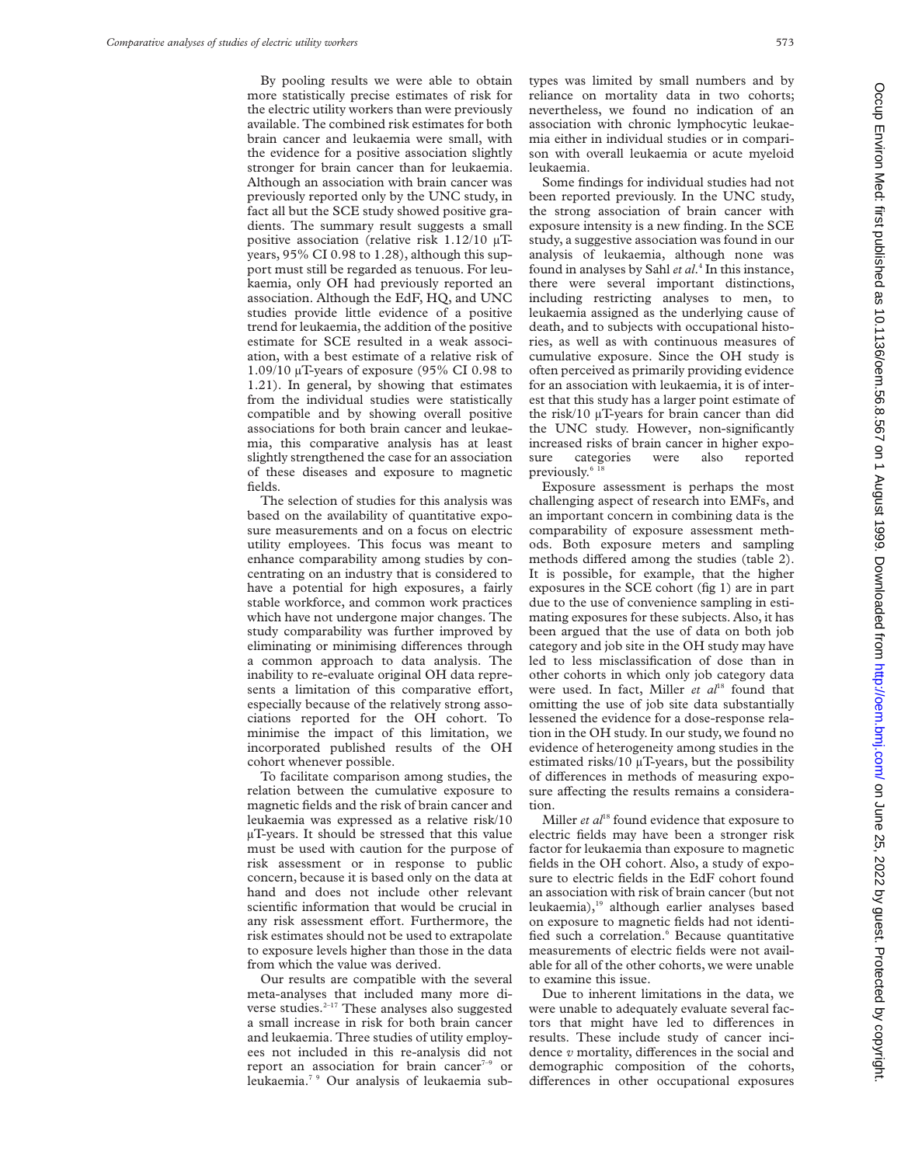By pooling results we were able to obtain more statistically precise estimates of risk for the electric utility workers than were previously available. The combined risk estimates for both brain cancer and leukaemia were small, with the evidence for a positive association slightly stronger for brain cancer than for leukaemia. Although an association with brain cancer was previously reported only by the UNC study, in fact all but the SCE study showed positive gradients. The summary result suggests a small positive association (relative risk 1.12/10 µTyears, 95% CI 0.98 to 1.28), although this support must still be regarded as tenuous. For leukaemia, only OH had previously reported an association. Although the EdF, HQ, and UNC studies provide little evidence of a positive trend for leukaemia, the addition of the positive estimate for SCE resulted in a weak association, with a best estimate of a relative risk of 1.09/10 µT-years of exposure (95% CI 0.98 to 1.21). In general, by showing that estimates from the individual studies were statistically compatible and by showing overall positive associations for both brain cancer and leukaemia, this comparative analysis has at least slightly strengthened the case for an association of these diseases and exposure to magnetic fields.

The selection of studies for this analysis was based on the availability of quantitative exposure measurements and on a focus on electric utility employees. This focus was meant to enhance comparability among studies by concentrating on an industry that is considered to have a potential for high exposures, a fairly stable workforce, and common work practices which have not undergone major changes. The study comparability was further improved by eliminating or minimising differences through a common approach to data analysis. The inability to re-evaluate original OH data represents a limitation of this comparative effort, especially because of the relatively strong associations reported for the OH cohort. To minimise the impact of this limitation, we incorporated published results of the OH cohort whenever possible.

To facilitate comparison among studies, the relation between the cumulative exposure to magnetic fields and the risk of brain cancer and leukaemia was expressed as a relative risk/10 µT-years. It should be stressed that this value must be used with caution for the purpose of risk assessment or in response to public concern, because it is based only on the data at hand and does not include other relevant scientific information that would be crucial in any risk assessment effort. Furthermore, the risk estimates should not be used to extrapolate to exposure levels higher than those in the data from which the value was derived.

Our results are compatible with the several meta-analyses that included many more diverse studies. $2-17$  These analyses also suggested a small increase in risk for both brain cancer and leukaemia. Three studies of utility employees not included in this re-analysis did not report an association for brain cancer<sup>7-9</sup> or leukaemia.7 9 Our analysis of leukaemia subtypes was limited by small numbers and by reliance on mortality data in two cohorts; nevertheless, we found no indication of an association with chronic lymphocytic leukaemia either in individual studies or in comparison with overall leukaemia or acute myeloid leukaemia.

Some findings for individual studies had not been reported previously. In the UNC study, the strong association of brain cancer with exposure intensity is a new finding. In the SCE study, a suggestive association was found in our analysis of leukaemia, although none was found in analyses by Sahl *et al*. <sup>4</sup> In this instance, there were several important distinctions, including restricting analyses to men, to leukaemia assigned as the underlying cause of death, and to subjects with occupational histories, as well as with continuous measures of cumulative exposure. Since the OH study is often perceived as primarily providing evidence for an association with leukaemia, it is of interest that this study has a larger point estimate of the risk/10 µT-years for brain cancer than did the UNC study. However, non-significantly increased risks of brain cancer in higher exposure categories were also reported previously.<sup>6</sup> <sup>18</sup>

Exposure assessment is perhaps the most challenging aspect of research into EMFs, and an important concern in combining data is the comparability of exposure assessment methods. Both exposure meters and sampling methods differed among the studies (table 2). It is possible, for example, that the higher exposures in the SCE cohort (fig 1) are in part due to the use of convenience sampling in estimating exposures for these subjects. Also, it has been argued that the use of data on both job category and job site in the OH study may have led to less misclassification of dose than in other cohorts in which only job category data were used. In fact, Miller *et al*<sup>18</sup> found that omitting the use of job site data substantially lessened the evidence for a dose-response relation in the OH study. In our study, we found no evidence of heterogeneity among studies in the estimated risks/10 µT-years, but the possibility of differences in methods of measuring exposure affecting the results remains a consideration.

Miller *et al*<sup>18</sup> found evidence that exposure to electric fields may have been a stronger risk factor for leukaemia than exposure to magnetic fields in the OH cohort. Also, a study of exposure to electric fields in the EdF cohort found an association with risk of brain cancer (but not leukaemia),<sup>19</sup> although earlier analyses based on exposure to magnetic fields had not identified such a correlation.<sup>6</sup> Because quantitative measurements of electric fields were not available for all of the other cohorts, we were unable to examine this issue.

Due to inherent limitations in the data, we were unable to adequately evaluate several factors that might have led to differences in results. These include study of cancer incidence  $v$  mortality, differences in the social and demographic composition of the cohorts, differences in other occupational exposures